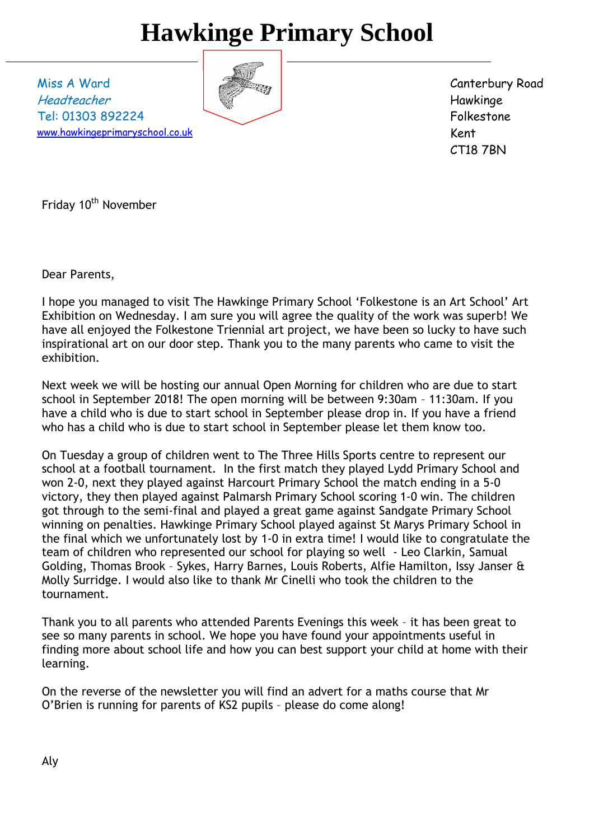# **Hawkinge Primary School**

Miss A Ward Headteacher Tel: 01303 892224 [www.hawkingeprimaryschool.co.uk](http://www.hawkingeprimaryschool.co.uk/)



Canterbury Road Hawkinge Folkestone Kent CT18 7BN

Friday 10<sup>th</sup> November

Dear Parents,

I hope you managed to visit The Hawkinge Primary School 'Folkestone is an Art School' Art Exhibition on Wednesday. I am sure you will agree the quality of the work was superb! We have all enjoyed the Folkestone Triennial art project, we have been so lucky to have such inspirational art on our door step. Thank you to the many parents who came to visit the exhibition.

Next week we will be hosting our annual Open Morning for children who are due to start school in September 2018! The open morning will be between 9:30am – 11:30am. If you have a child who is due to start school in September please drop in. If you have a friend who has a child who is due to start school in September please let them know too.

On Tuesday a group of children went to The Three Hills Sports centre to represent our school at a football tournament. In the first match they played Lydd Primary School and won 2-0, next they played against Harcourt Primary School the match ending in a 5-0 victory, they then played against Palmarsh Primary School scoring 1-0 win. The children got through to the semi-final and played a great game against Sandgate Primary School winning on penalties. Hawkinge Primary School played against St Marys Primary School in the final which we unfortunately lost by 1-0 in extra time! I would like to congratulate the team of children who represented our school for playing so well - Leo Clarkin, Samual Golding, Thomas Brook – Sykes, Harry Barnes, Louis Roberts, Alfie Hamilton, Issy Janser & Molly Surridge. I would also like to thank Mr Cinelli who took the children to the tournament.

Thank you to all parents who attended Parents Evenings this week – it has been great to see so many parents in school. We hope you have found your appointments useful in finding more about school life and how you can best support your child at home with their learning.

On the reverse of the newsletter you will find an advert for a maths course that Mr O'Brien is running for parents of KS2 pupils – please do come along!